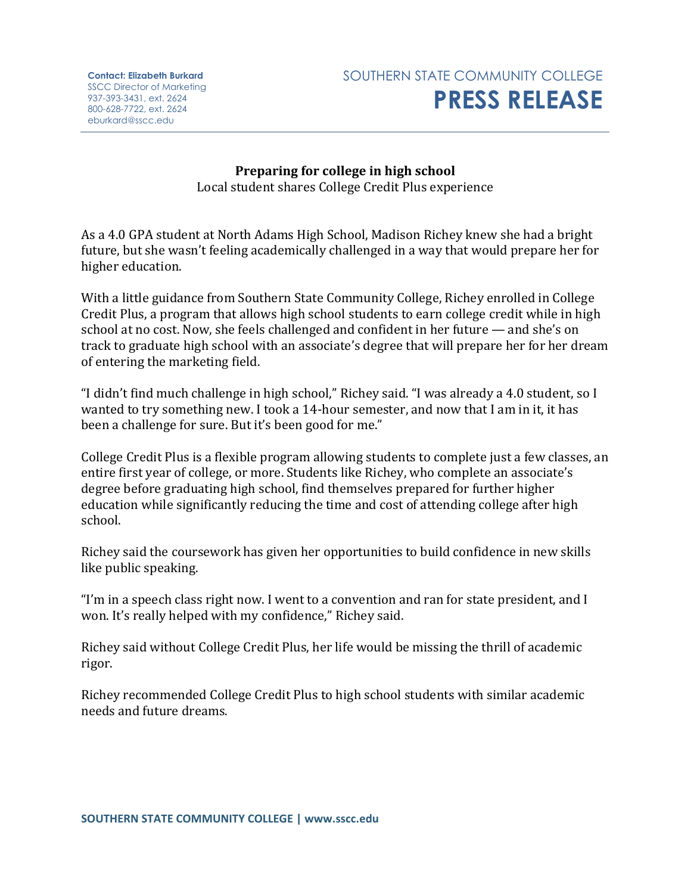**Contact: Elizabeth Burkard** SSCC Director of Marketing 937-393-3431, ext. 2624 800-628-7722, ext. 2624 eburkard@sscc.edu



**Preparing for college in high school** Local student shares College Credit Plus experience

As a 4.0 GPA student at North Adams High School, Madison Richey knew she had a bright future, but she wasn't feeling academically challenged in a way that would prepare her for higher education.

With a little guidance from Southern State Community College, Richey enrolled in College Credit Plus, a program that allows high school students to earn college credit while in high school at no cost. Now, she feels challenged and confident in her future — and she's on track to graduate high school with an associate's degree that will prepare her for her dream of entering the marketing field.

"I didn't find much challenge in high school," Richey said. "I was already a 4.0 student, so I wanted to try something new. I took a 14-hour semester, and now that I am in it, it has been a challenge for sure. But it's been good for me."

College Credit Plus is a flexible program allowing students to complete just a few classes, an entire first year of college, or more. Students like Richey, who complete an associate's degree before graduating high school, find themselves prepared for further higher education while significantly reducing the time and cost of attending college after high school.

Richey said the coursework has given her opportunities to build confidence in new skills like public speaking.

"I'm in a speech class right now. I went to a convention and ran for state president, and I won. It's really helped with my confidence," Richey said.

Richey said without College Credit Plus, her life would be missing the thrill of academic rigor.

Richey recommended College Credit Plus to high school students with similar academic needs and future dreams.